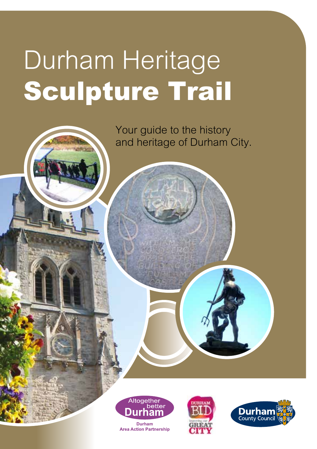# Durham Heritage Sculpture Trail

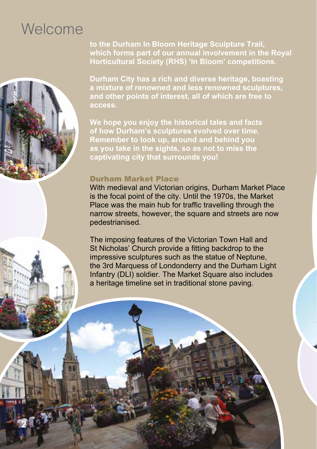# **Welcome**

**2**

**to the Durham In Bloom Heritage Sculpture Trail, which forms part of our annual involvement in the Royal Horticultural Society (RHS) 'In Bloom' competitions.**

**Durham City has a rich and diverse heritage, boasting a mixture of renowned and less renowned sculptures, and other points of interest, all of which are free to** 

**We hope you enjoy the historical tales and facts of how Durham's sculptures evolved over time. Remember to look up, around and behind you as you take in the sights, so as not to miss the captivating city that surrounds you!**

#### Durham Market Place

 pedestrianised. With medieval and Victorian origins, Durham Market Place is the focal point of the city. Until the 1970s, the Market Place was the main hub for traffic travelling through the narrow streets, however, the square and streets are now

The imposing features of the Victorian Town Hall and St Nicholas' Church provide a fitting backdrop to the impressive sculptures such as the statue of Neptune, the 3rd Marquess of Londonderry and the Durham Light Infantry (DLI) soldier. The Market Square also includes a heritage timeline set in traditional stone paving.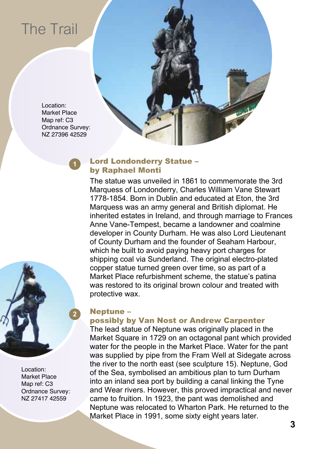

#### **<sup>1</sup>** Lord Londonderry Statue – by Raphael Monti

The statue was unveiled in 1861 to commemorate the 3rd Marquess of Londonderry, Charles William Vane Stewart 1778-1854. Born in Dublin and educated at Eton, the 3rd Marquess was an army general and British diplomat. He inherited estates in Ireland, and through marriage to Frances Anne Vane-Tempest, became a landowner and coalmine developer in County Durham. He was also Lord Lieutenant of County Durham and the founder of Seaham Harbour, which he built to avoid paying heavy port charges for shipping coal via Sunderland. The original electro-plated copper statue turned green over time, so as part of a Market Place refurbishment scheme, the statue's patina was restored to its original brown colour and treated with protective wax.



Location: Market Place Map ref: C3 Ordnance Survey: NZ 27417 42559

#### **2** Neptune –

#### possibly by Van Nost or Andrew Carpenter

The lead statue of Neptune was originally placed in the Market Square in 1729 on an octagonal pant which provided water for the people in the Market Place. Water for the pant was supplied by pipe from the Fram Well at Sidegate across the river to the north east (see sculpture 15). Neptune, God of the Sea, symbolised an ambitious plan to turn Durham into an inland sea port by building a canal linking the Tyne and Wear rivers. However, this proved impractical and never came to fruition. In 1923, the pant was demolished and Neptune was relocated to Wharton Park. He returned to the Market Place in 1991, some sixty eight years later.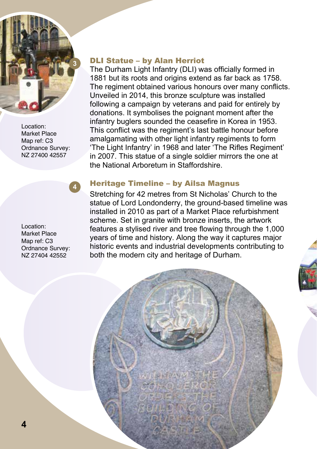

Location: Market Place Map ref: C3 Ordnance Survey: NZ 27400 42557

in 2007. This statue of a single soldier mirrors the one at the National Arboretum in Staffordshire.

The Durham Light Infantry (DLI) was officially formed in 1881 but its roots and origins extend as far back as 1758. The regiment obtained various honours over many conflicts.

Unveiled in 2014, this bronze sculpture was installed following a campaign by veterans and paid for entirely by donations. It symbolises the poignant moment after the infantry buglers sounded the ceasefire in Korea in 1953. This conflict was the regiment's last battle honour before amalgamating with other light infantry regiments to form 'The Light Infantry' in 1968 and later 'The Rifles Regiment'

Location: Market Place Map ref: C3 Ordnance Survey: NZ 27404 42552

# **<sup>4</sup>** Heritage Timeline – by Ailsa Magnus

**3** DLI Statue – by Alan Herriot

Stretching for 42 metres from St Nicholas' Church to the statue of Lord Londonderry, the ground-based timeline was installed in 2010 as part of a Market Place refurbishment scheme. Set in granite with bronze inserts, the artwork features a stylised river and tree flowing through the 1,000 years of time and history. Along the way it captures major historic events and industrial developments contributing to both the modern city and heritage of Durham.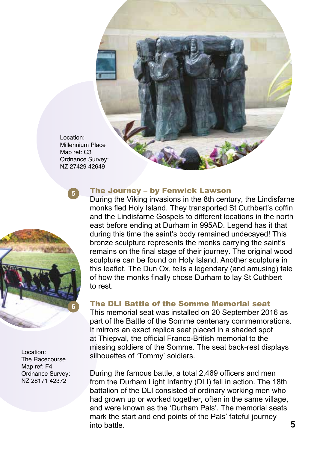Location: Millennium Place Map ref: C3 Ordnance Survey: NZ 27429 42649



Location: The Racecourse Map ref: F4 Ordnance Survey: NZ 28171 42372

## **<sup>5</sup>** The Journey – by Fenwick Lawson

 to rest. During the Viking invasions in the 8th century, the Lindisfarne monks fled Holy Island. They transported St Cuthbert's coffin and the Lindisfarne Gospels to different locations in the north east before ending at Durham in 995AD. Legend has it that during this time the saint's body remained undecayed! This bronze sculpture represents the monks carrying the saint's remains on the final stage of their journey. The original wood sculpture can be found on Holy Island. Another sculpture in this leaflet, The Dun Ox, tells a legendary (and amusing) tale of how the monks finally chose Durham to lay St Cuthbert

## **6** The DLI Battle of the Somme Memorial seat

This memorial seat was installed on 20 September 2016 as part of the Battle of the Somme centenary commemorations. It mirrors an exact replica seat placed in a shaded spot at Thiepval, the official Franco-British memorial to the missing soldiers of the Somme. The seat back-rest displays silhouettes of 'Tommy' soldiers.

During the famous battle, a total 2,469 officers and men from the Durham Light Infantry (DLI) fell in action. The 18th battalion of the DLI consisted of ordinary working men who had grown up or worked together, often in the same village, and were known as the 'Durham Pals'. The memorial seats mark the start and end points of the Pals' fateful journey into battle.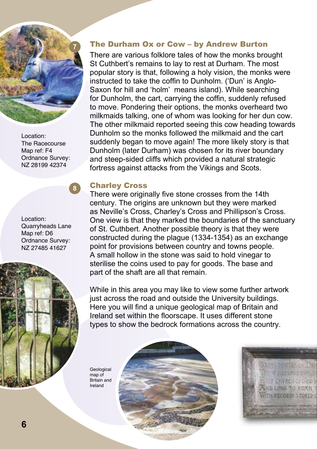

Location: The Racecourse Map ref: F4 Ordnance Survey: NZ 28199 42374

Location: Quarryheads Lane Map ref: D6 Ordnance Survey: NZ 27485 41627



# **7** The Durham Ox or Cow – by Andrew Burton

There are various folklore tales of how the monks brought St Cuthbert's remains to lay to rest at Durham. The most popular story is that, following a holy vision, the monks were instructed to take the coffin to Dunholm. ('Dun' is Anglo-Saxon for hill and 'holm' means island). While searching for Dunholm, the cart, carrying the coffin, suddenly refused to move. Pondering their options, the monks overheard two milkmaids talking, one of whom was looking for her dun cow. The other milkmaid reported seeing this cow heading towards Dunholm so the monks followed the milkmaid and the cart suddenly began to move again! The more likely story is that Dunholm (later Durham) was chosen for its river boundary and steep-sided cliffs which provided a natural strategic fortress against attacks from the Vikings and Scots.

## **<sup>8</sup>** Charley Cross

There were originally five stone crosses from the 14th century. The origins are unknown but they were marked as Neville's Cross, Charley's Cross and Phillipson's Cross. One view is that they marked the boundaries of the sanctuary of St. Cuthbert. Another possible theory is that they were constructed during the plague (1334-1354) as an exchange point for provisions between country and towns people. A small hollow in the stone was said to hold vinegar to sterilise the coins used to pay for goods. The base and part of the shaft are all that remain.

While in this area you may like to view some further artwork just across the road and outside the University buildings. Here you will find a unique geological map of Britain and Ireland set within the floorscape. It uses different stone types to show the bedrock formations across the country.

**Geological** map of Britain and Ireland

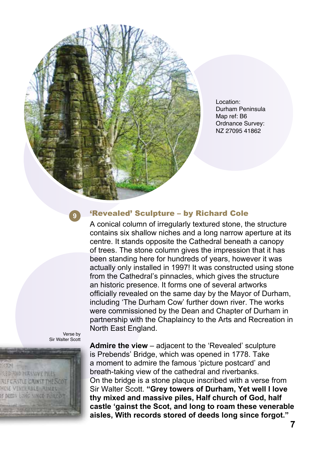Location: Durham Peninsula Map ref: B6 Ordnance Survey: NZ 27095 41862

# **9** 'Revealed' Sculpture – by Richard Cole

A conical column of irregularly textured stone, the structure contains six shallow niches and a long narrow aperture at its centre. It stands opposite the Cathedral beneath a canopy of trees. The stone column gives the impression that it has been standing here for hundreds of years, however it was actually only installed in 1997! It was constructed using stone from the Cathedral's pinnacles, which gives the structure an historic presence. It forms one of several artworks officially revealed on the same day by the Mayor of Durham, including 'The Durham Cow' further down river. The works were commissioned by the Dean and Chapter of Durham in partnership with the Chaplaincy to the Arts and Recreation in North East England.





**Admire the view** – adjacent to the 'Revealed' sculpture is Prebends' Bridge, which was opened in 1778. Take a moment to admire the famous 'picture postcard' and breath-taking view of the cathedral and riverbanks. On the bridge is a stone plaque inscribed with a verse from Sir Walter Scott. **"Grey towers of Durham, Yet well I love thy mixed and massive piles, Half church of God, half castle 'gainst the Scot, and long to roam these venerable aisles, With records stored of deeds long since forgot."**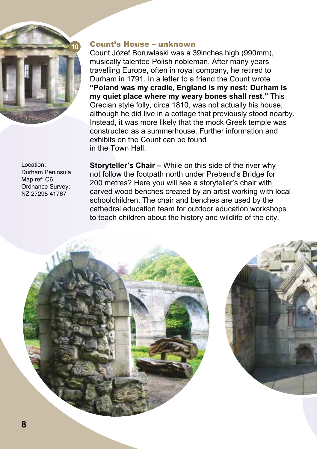

# **10** Count's House – unknown

Count Józef Boruwłaski was a 39inches high (990mm), musically talented Polish nobleman. After many years travelling Europe, often in royal company, he retired to Durham in 1791. In a letter to a friend the Count wrote **"Poland was my cradle, England is my nest; Durham is my quiet place where my weary bones shall rest."** This Grecian style folly, circa 1810, was not actually his house, although he did live in a cottage that previously stood nearby. Instead, it was more likely that the mock Greek temple was constructed as a summerhouse. Further information and exhibits on the Count can be found in the Town Hall.

Location: Durham Peninsula Map ref: C6 Ordnance Survey: NZ 27295 41767

**Storyteller's Chair –** While on this side of the river why not follow the footpath north under Prebend's Bridge for 200 metres? Here you will see a storyteller's chair with carved wood benches created by an artist working with local schoolchildren. The chair and benches are used by the cathedral education team for outdoor education workshops to teach children about the history and wildlife of the city.



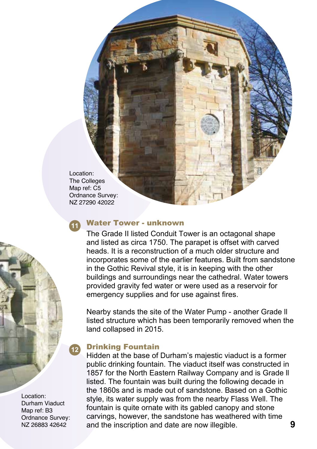Location: The Colleges Map ref: C5 Ordnance Survey: NZ 27290 42022

# **<sup>11</sup>** Water Tower - unknown

 emergency supplies and for use against fires. The Grade II listed Conduit Tower is an octagonal shape and listed as circa 1750. The parapet is offset with carved heads. It is a reconstruction of a much older structure and incorporates some of the earlier features. Built from sandstone in the Gothic Revival style, it is in keeping with the other buildings and surroundings near the cathedral. Water towers provided gravity fed water or were used as a reservoir for

 land collapsed in 2015. Nearby stands the site of the Water Pump - another Grade ll listed structure which has been temporarily removed when the

# **<sup>12</sup>** Drinking Fountain

NZ 26883 42642 **and the inscription and date are now illegible.** 9 Hidden at the base of Durham's majestic viaduct is a former public drinking fountain. The viaduct itself was constructed in 1857 for the North Eastern Railway Company and is Grade ll listed. The fountain was built during the following decade in the 1860s and is made out of sandstone. Based on a Gothic style, its water supply was from the nearby Flass Well. The fountain is quite ornate with its gabled canopy and stone carvings, however, the sandstone has weathered with time

Location: Durham Viaduct Map ref: B3 Ordnance Survey:<br>N7 26883 42642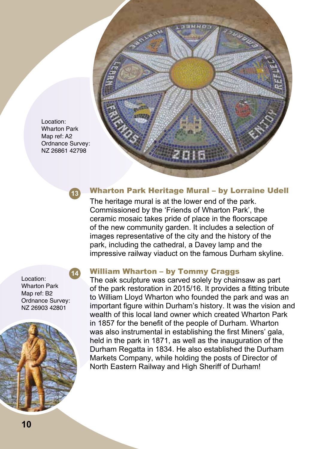

Location: Wharton Park Map ref: A2 Ordnance Survey: NZ 26861 42798



# **<sup>13</sup>** Wharton Park Heritage Mural – by Lorraine Udell

 impressive railway viaduct on the famous Durham skyline. The heritage mural is at the lower end of the park. Commissioned by the 'Friends of Wharton Park', the ceramic mosaic takes pride of place in the floorscape of the new community garden. It includes a selection of images representative of the city and the history of the park, including the cathedral, a Davey lamp and the

Location: Wharton Park Map ref: B2 Ordnance Survey: NZ 26903 42801



## **14** William Wharton – by Tommy Craggs

The oak sculpture was carved solely by chainsaw as part of the park restoration in 2015/16. It provides a fitting tribute to William Lloyd Wharton who founded the park and was an important figure within Durham's history. It was the vision and wealth of this local land owner which created Wharton Park in 1857 for the benefit of the people of Durham. Wharton was also instrumental in establishing the first Miners' gala, held in the park in 1871, as well as the inauguration of the Durham Regatta in 1834. He also established the Durham Markets Company, while holding the posts of Director of North Eastern Railway and High Sheriff of Durham!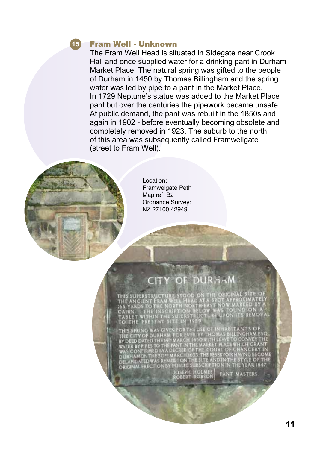

#### **15** Fram Well - Unknown

The Fram Well Head is situated in Sidegate near Crook Hall and once supplied water for a drinking pant in Durham Market Place. The natural spring was gifted to the people of Durham in 1450 by Thomas Billingham and the spring water was led by pipe to a pant in the Market Place. In 1729 Neptune's statue was added to the Market Place pant but over the centuries the pipework became unsafe. At public demand, the pant was rebuilt in the 1850s and again in 1902 - before eventually becoming obsolete and completely removed in 1923. The suburb to the north of this area was subsequently called Framwellgate (street to Fram Well).



Location: Framwelgate Peth Map ref: B2 Ordnance Survey: NZ 27100 42949

# CITY OF DURHAM

IS SUPERSTRUCTURE STOOD ANCIENT P THE INS

UBLIC SUBSCRIFT<br>IOSEPH HOLMES<br>ROBERT ROBSON **PANT MASTERS**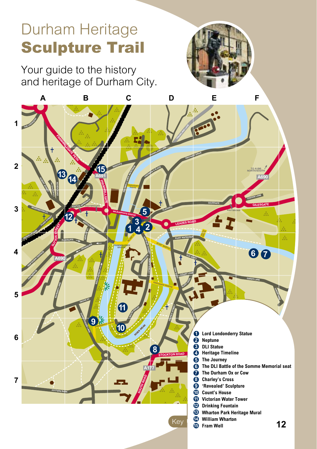# Durham Heritage Sculpture Trail

Your guide to the history and heritage of Durham City. **TO EDINBURGH**



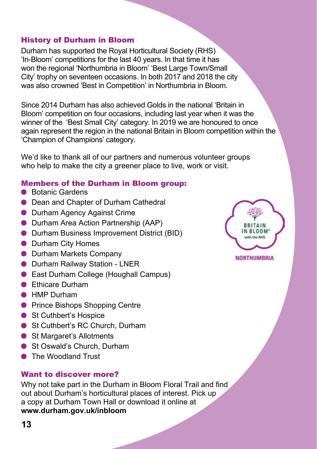#### History of Durham in Bloom

Durham has supported the Royal Horticultural Society (RHS) 'In-Bloom' competitions for the last 40 years. In that time it has won the regional 'Northumbria in Bloom' 'Best Large Town/Small City' trophy on seventeen occasions. In both 2017 and 2018 the city was also crowned 'Best in Competition' in Northumbria in Bloom.

Since 2014 Durham has also achieved Golds in the national 'Britain in Bloom' competition on four occasions, including last year when it was the winner of the 'Best Small City' category. In 2019 we are honoured to once again represent the region in the national Britain in Bloom competition within the 'Champion of Champions' category.

We'd like to thank all of our partners and numerous volunteer groups who help to make the city a greener place to live, work or visit.

#### Members of the Durham in Bloom group:

- Botanic Gardens
- **Dean and Chapter of Durham Cathedral**
- Durham Agency Against Crime
- Durham Area Action Partnership (AAP)
- Durham Business Improvement District (BID)
- Durham City Homes
- Durham Markets Company
- Durham Railway Station LNER
- East Durham College (Houghall Campus)
- Ethicare Durham
- HMP Durham
- **Prince Bishops Shopping Centre**
- St Cuthbert's Hospice
- St Cuthbert's RC Church, Durham
- St Margaret's Allotments
- St Oswald's Church, Durham
- The Woodland Trust

#### Want to discover more?

Why not take part in the Durham in Bloom Floral Trail and find out about Durham's horticultural places of interest. Pick up a copy at Durham Town Hall or download it online at **[www.durham.gov.uk/inbloom](http://www.durham.gov.uk/inbloom)**



**NORTHUMBRIA**